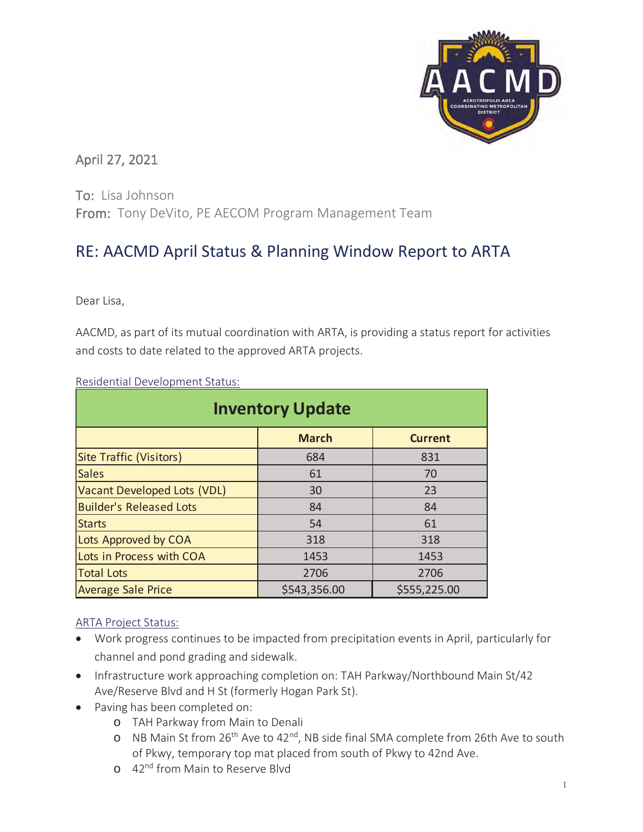

# April 27, 2021

To: Lisa Johnson From: Tony DeVito, PE AECOM Program Management Team

# RE: AACMD April Status & Planning Window Report to ARTA

Dear Lisa,

AACMD, as part of its mutual coordination with ARTA, is providing a status report for activities and costs to date related to the approved ARTA projects.

| <b>Inventory Update</b>        |              |                |  |  |  |  |  |  |
|--------------------------------|--------------|----------------|--|--|--|--|--|--|
|                                | <b>March</b> | <b>Current</b> |  |  |  |  |  |  |
| <b>Site Traffic (Visitors)</b> | 684          | 831            |  |  |  |  |  |  |
| <b>Sales</b>                   | 61           | 70             |  |  |  |  |  |  |
| Vacant Developed Lots (VDL)    | 30           | 23             |  |  |  |  |  |  |
| <b>Builder's Released Lots</b> | 84           | 84             |  |  |  |  |  |  |
| <b>Starts</b>                  | 54           | 61             |  |  |  |  |  |  |
| Lots Approved by COA           | 318          | 318            |  |  |  |  |  |  |
| Lots in Process with COA       | 1453         | 1453           |  |  |  |  |  |  |
| <b>Total Lots</b>              | 2706         | 2706           |  |  |  |  |  |  |
| <b>Average Sale Price</b>      | \$543,356.00 | \$555,225.00   |  |  |  |  |  |  |

Residential Development Status:

# ARTA Project Status:

- Work progress continues to be impacted from precipitation events in April, particularly for channel and pond grading and sidewalk.
- Infrastructure work approaching completion on: TAH Parkway/Northbound Main St/42 Ave/Reserve Blvd and H St (formerly Hogan Park St).
- Paving has been completed on:
	- o TAH Parkway from Main to Denali
	- o NB Main St from 26th Ave to 42nd, NB side final SMA complete from 26th Ave to south of Pkwy, temporary top mat placed from south of Pkwy to 42nd Ave.
	- o 42<sup>nd</sup> from Main to Reserve Blyd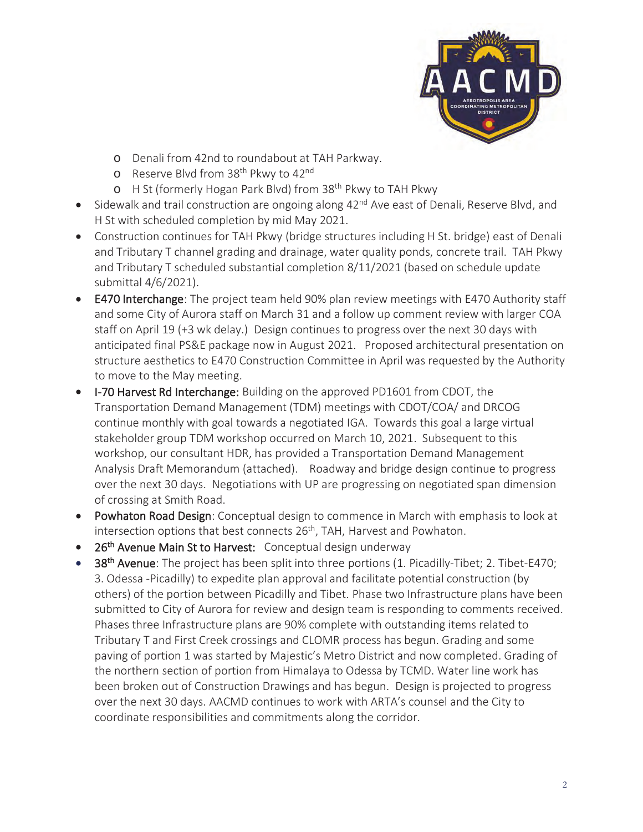

- o Denali from 42nd to roundabout at TAH Parkway.
- o Reserve Blvd from 38<sup>th</sup> Pkwy to 42<sup>nd</sup>
- o H St (formerly Hogan Park Blvd) from 38<sup>th</sup> Pkwy to TAH Pkwy
- Sidewalk and trail construction are ongoing along  $42<sup>nd</sup>$  Ave east of Denali, Reserve Blvd, and H St with scheduled completion by mid May 2021.
- Construction continues for TAH Pkwy (bridge structures including H St. bridge) east of Denali and Tributary T channel grading and drainage, water quality ponds, concrete trail. TAH Pkwy and Tributary T scheduled substantial completion 8/11/2021 (based on schedule update submittal 4/6/2021).
- E470 Interchange: The project team held 90% plan review meetings with E470 Authority staff and some City of Aurora staff on March 31 and a follow up comment review with larger COA staff on April 19 (+3 wk delay.) Design continues to progress over the next 30 days with anticipated final PS&E package now in August 2021. Proposed architectural presentation on structure aesthetics to E470 Construction Committee in April was requested by the Authority to move to the May meeting.
- I-70 Harvest Rd Interchange: Building on the approved PD1601 from CDOT, the Transportation Demand Management (TDM) meetings with CDOT/COA/ and DRCOG continue monthly with goal towards a negotiated IGA. Towards this goal a large virtual stakeholder group TDM workshop occurred on March 10, 2021. Subsequent to this workshop, our consultant HDR, has provided a Transportation Demand Management Analysis Draft Memorandum (attached). Roadway and bridge design continue to progress over the next 30 days. Negotiations with UP are progressing on negotiated span dimension of crossing at Smith Road.
- Powhaton Road Design: Conceptual design to commence in March with emphasis to look at intersection options that best connects 26<sup>th</sup>, TAH, Harvest and Powhaton.
- 26<sup>th</sup> Avenue Main St to Harvest: Conceptual design underway
- 38<sup>th</sup> Avenue: The project has been split into three portions (1. Picadilly-Tibet; 2. Tibet-E470; 3. Odessa -Picadilly) to expedite plan approval and facilitate potential construction (by others) of the portion between Picadilly and Tibet. Phase two Infrastructure plans have been submitted to City of Aurora for review and design team is responding to comments received. Phases three Infrastructure plans are 90% complete with outstanding items related to Tributary T and First Creek crossings and CLOMR process has begun. Grading and some paving of portion 1 was started by Majestic's Metro District and now completed. Grading of the northern section of portion from Himalaya to Odessa by TCMD. Water line work has been broken out of Construction Drawings and has begun. Design is projected to progress over the next 30 days. AACMD continues to work with ARTA's counsel and the City to coordinate responsibilities and commitments along the corridor.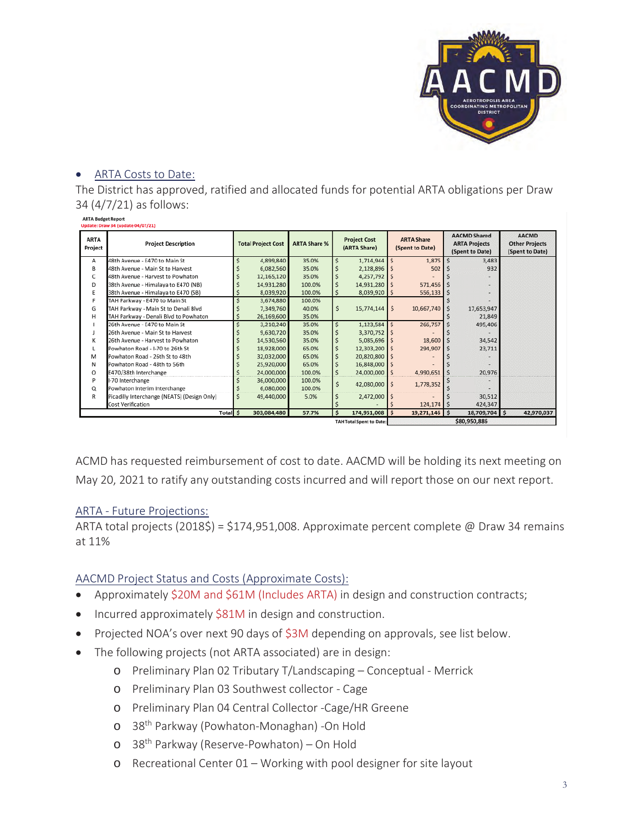

### • ARTA Costs to Date:

The District has approved, ratified and allocated funds for potential ARTA obligations per Draw 34 (4/7/21) as follows:

| <b>ARTA Budget Report</b> |                                  |
|---------------------------|----------------------------------|
|                           | Hodate: Draw 34 fundate 04/07/21 |

| <b>ARTA</b><br>Project | <b>Project Description</b>                  |   | <b>Total Project Cost</b> | <b>ARTA Share %</b> |    | <b>Project Cost</b><br>(ARTA Share) |              | <b>ARTA Share</b><br>(Spent to Date) |  | <b>AACMD Shared</b><br><b>ARTA Projects</b><br>(Spent to Date) |  | <b>AACMD</b><br><b>Other Projects</b><br>(Spent to Date) |
|------------------------|---------------------------------------------|---|---------------------------|---------------------|----|-------------------------------------|--------------|--------------------------------------|--|----------------------------------------------------------------|--|----------------------------------------------------------|
| Α                      | 48th Avenue - E470 to Main St               |   | 4,899,840                 | 35.0%               | Ś  | 1,714,944                           |              | $1,875$ \$                           |  | 3,483                                                          |  |                                                          |
| в                      | 48th Avenue - Main St to Harvest            |   | 6,082,560                 | 35.0%               |    | 2,128,896                           |              | 502                                  |  | 932                                                            |  |                                                          |
| c                      | 48th Avenue - Harvest to Powhaton           |   | 12,165,120                | 35.0%               |    | 4,257,792 \$                        |              |                                      |  |                                                                |  |                                                          |
| D                      | 38th Avenue - Himalaya to E470 (NB)         |   | 14,931,280                | 100.0%              |    | 14,931,280                          |              | $571,456$ \$                         |  |                                                                |  |                                                          |
| E                      | 38th Avenue - Himalaya to E470 (SB)         |   | 8,039,920                 | 100.0%              | s  | 8,039,920 \$                        |              | $556,133$ \$                         |  |                                                                |  |                                                          |
| F                      | TAH Parkway - E470 to Main St               |   | 3,674,880                 | 100.0%              |    |                                     |              |                                      |  |                                                                |  |                                                          |
| G                      | TAH Parkway - Main St to Denali Blvd        |   | 7,349,760                 | 40.0%               | Ś. | 15,774,144                          | Ŝ            | 10,667,740 \$                        |  | 17,653,947                                                     |  |                                                          |
| Н                      | TAH Parkway - Denali Blvd to Powhaton       |   | 26,169,600                | 35.0%               |    |                                     |              |                                      |  | 21,849                                                         |  |                                                          |
|                        | 26th Avenue - E470 to Main St               |   | 3,210,240                 | 35.0%               | Ś  | $1,123,584$ \$                      |              | 266,757                              |  | 495,406                                                        |  |                                                          |
|                        | 26th Avenue - Main St to Harvest            |   | 9,630,720                 | 35.0%               |    | 3,370,752                           |              |                                      |  |                                                                |  |                                                          |
| K                      | 26th Avenue - Harvest to Powhaton           |   | 14,530,560                | 35.0%               |    | $5.085.696$ \$                      |              | 18,600 \$                            |  | 34,542                                                         |  |                                                          |
|                        | Powhaton Road - I-70 to 26th St             |   | 18,928,000                | 65.0%               |    | 12,303,200                          |              | 294,907 \$                           |  | 23,711                                                         |  |                                                          |
| M                      | Powhaton Road - 26th St to 48th             |   | 32,032,000                | 65.0%               |    | 20,820,800                          |              |                                      |  |                                                                |  |                                                          |
| N                      | Powhaton Road - 48th to 56th                |   | 25,920,000                | 65.0%               | s  | 16,848,000                          |              |                                      |  |                                                                |  |                                                          |
| 0                      | E470/38th Interchange                       |   | 24,000,000                | 100.0%              | s  | 24,000,000                          |              | 4,990,651 \$                         |  | 20,976                                                         |  |                                                          |
| P                      | -70 Interchange                             |   | 36,000,000                | 100.0%              | Ś  | 42,080,000 \$                       |              | 1,778,352                            |  |                                                                |  |                                                          |
| Q                      | Powhaton Interim Interchange                |   | 6,080,000                 | 100.0%              |    |                                     |              |                                      |  |                                                                |  |                                                          |
| R                      | Picadilly Interchange (NEATS) (Design Only) | Ŝ | 49,440,000                | 5.0%                |    | 2,472,000 \$                        |              |                                      |  | 30,512                                                         |  |                                                          |
|                        | Cost Verification                           |   |                           |                     |    |                                     |              | $124, 174$ \$                        |  | 424,347                                                        |  |                                                          |
|                        | Total \$                                    |   | 303,084,480               | 57.7%               | Ś. | 174,951,008                         | ۱s           | $19,271,146$ \$                      |  | 18,709,704 \$                                                  |  | 42,970,037                                               |
|                        |                                             |   |                           |                     |    | <b>TAH Total Spent to Date:</b>     | \$80,950,886 |                                      |  |                                                                |  |                                                          |

ACMD has requested reimbursement of cost to date. AACMD will be holding its next meeting on May 20, 2021 to ratify any outstanding costs incurred and will report those on our next report.

#### ARTA - Future Projections:

ARTA total projects (2018\$) = \$174,951,008. Approximate percent complete @ Draw 34 remains at 11%

# AACMD Project Status and Costs (Approximate Costs):

- Approximately \$20M and \$61M (Includes ARTA) in design and construction contracts;
- Incurred approximately \$81M in design and construction.
- Projected NOA's over next 90 days of  $$3M$  depending on approvals, see list below.
- The following projects (not ARTA associated) are in design:
	- o Preliminary Plan 02 Tributary T/Landscaping Conceptual Merrick
	- o Preliminary Plan 03 Southwest collector Cage
	- o Preliminary Plan 04 Central Collector -Cage/HR Greene
	- o 38th Parkway (Powhaton-Monaghan) -On Hold
	- o 38th Parkway (Reserve-Powhaton) On Hold
	- o Recreational Center 01 Working with pool designer for site layout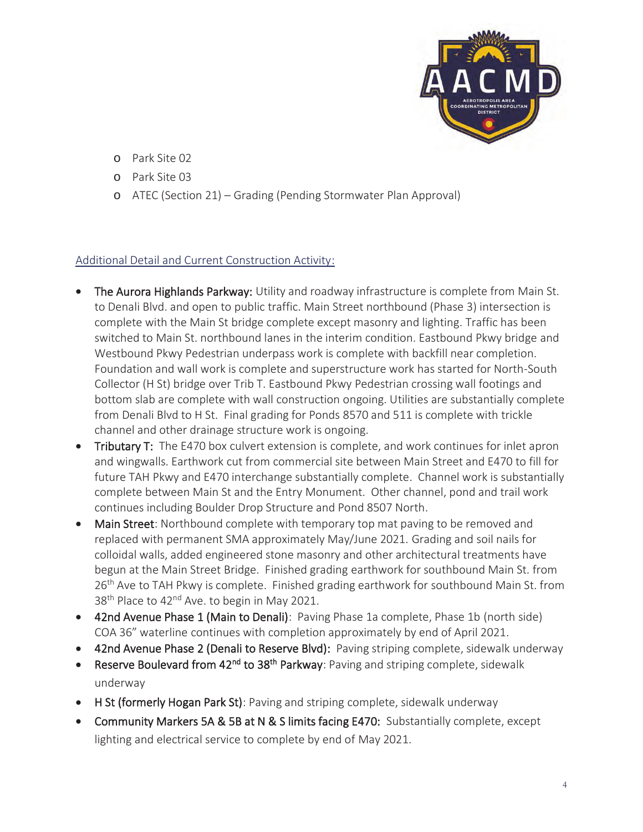

- o Park Site 02
- o Park Site 03
- o ATEC (Section 21) Grading (Pending Stormwater Plan Approval)

# Additional Detail and Current Construction Activity:

- The Aurora Highlands Parkway: Utility and roadway infrastructure is complete from Main St. to Denali Blvd. and open to public traffic. Main Street northbound (Phase 3) intersection is complete with the Main St bridge complete except masonry and lighting. Traffic has been switched to Main St. northbound lanes in the interim condition. Eastbound Pkwy bridge and Westbound Pkwy Pedestrian underpass work is complete with backfill near completion. Foundation and wall work is complete and superstructure work has started for North-South Collector (H St) bridge over Trib T. Eastbound Pkwy Pedestrian crossing wall footings and bottom slab are complete with wall construction ongoing. Utilities are substantially complete from Denali Blvd to H St. Final grading for Ponds 8570 and 511 is complete with trickle channel and other drainage structure work is ongoing.
- Tributary T: The E470 box culvert extension is complete, and work continues for inlet apron and wingwalls. Earthwork cut from commercial site between Main Street and E470 to fill for future TAH Pkwy and E470 interchange substantially complete. Channel work is substantially complete between Main St and the Entry Monument. Other channel, pond and trail work continues including Boulder Drop Structure and Pond 8507 North.
- Main Street: Northbound complete with temporary top mat paving to be removed and replaced with permanent SMA approximately May/June 2021. Grading and soil nails for colloidal walls, added engineered stone masonry and other architectural treatments have begun at the Main Street Bridge. Finished grading earthwork for southbound Main St. from 26<sup>th</sup> Ave to TAH Pkwy is complete. Finished grading earthwork for southbound Main St. from 38<sup>th</sup> Place to 42<sup>nd</sup> Ave. to begin in May 2021.
- 42nd Avenue Phase 1 (Main to Denali): Paving Phase 1a complete, Phase 1b (north side) COA 36" waterline continues with completion approximately by end of April 2021.
- 42nd Avenue Phase 2 (Denali to Reserve Blvd): Paving striping complete, sidewalk underway
- **Reserve Boulevard from 42<sup>nd</sup> to 38<sup>th</sup> Parkway**: Paving and striping complete, sidewalk underway
- H St (formerly Hogan Park St): Paving and striping complete, sidewalk underway
- Community Markers 5A & 5B at N & S limits facing E470: Substantially complete, except lighting and electrical service to complete by end of May 2021.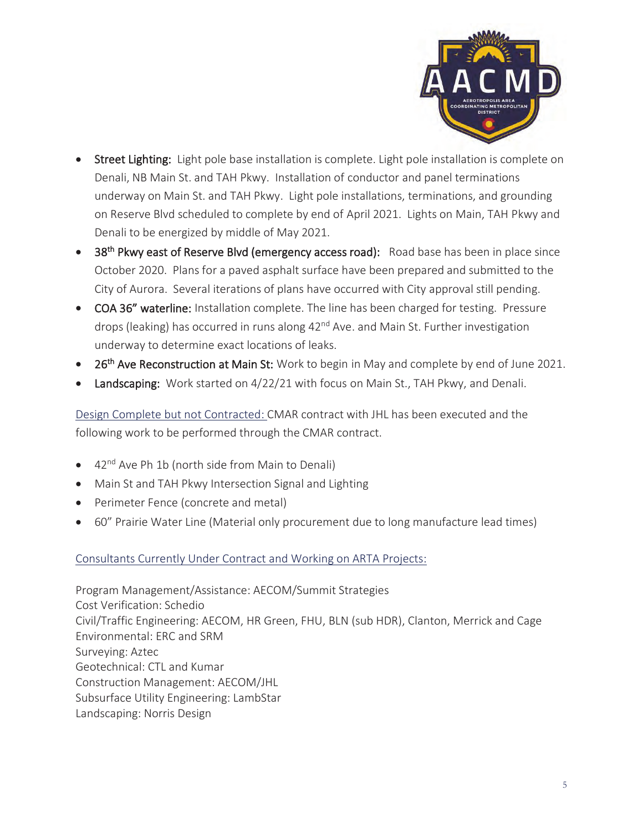

- Street Lighting: Light pole base installation is complete. Light pole installation is complete on Denali, NB Main St. and TAH Pkwy. Installation of conductor and panel terminations underway on Main St. and TAH Pkwy. Light pole installations, terminations, and grounding on Reserve Blvd scheduled to complete by end of April 2021. Lights on Main, TAH Pkwy and Denali to be energized by middle of May 2021.
- 38<sup>th</sup> Pkwy east of Reserve Blvd (emergency access road): Road base has been in place since October 2020. Plans for a paved asphalt surface have been prepared and submitted to the City of Aurora. Several iterations of plans have occurred with City approval still pending.
- COA 36" waterline: Installation complete. The line has been charged for testing. Pressure drops (leaking) has occurred in runs along 42<sup>nd</sup> Ave. and Main St. Further investigation underway to determine exact locations of leaks.
- 26<sup>th</sup> Ave Reconstruction at Main St: Work to begin in May and complete by end of June 2021.
- Landscaping: Work started on 4/22/21 with focus on Main St., TAH Pkwy, and Denali.

Design Complete but not Contracted: CMAR contract with JHL has been executed and the following work to be performed through the CMAR contract.

- $\bullet$  42<sup>nd</sup> Ave Ph 1b (north side from Main to Denali)
- Main St and TAH Pkwy Intersection Signal and Lighting
- Perimeter Fence (concrete and metal)
- 60" Prairie Water Line (Material only procurement due to long manufacture lead times)

# Consultants Currently Under Contract and Working on ARTA Projects:

Program Management/Assistance: AECOM/Summit Strategies Cost Verification: Schedio Civil/Traffic Engineering: AECOM, HR Green, FHU, BLN (sub HDR), Clanton, Merrick and Cage Environmental: ERC and SRM Surveying: Aztec Geotechnical: CTL and Kumar Construction Management: AECOM/JHL Subsurface Utility Engineering: LambStar Landscaping: Norris Design